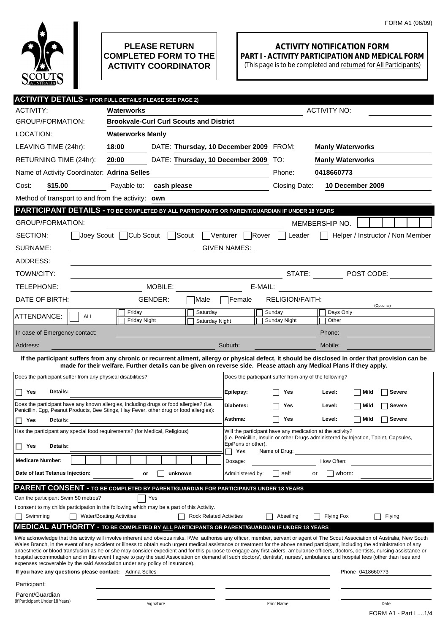

## **PLEASE RETURN COMPLETED FORM TO THE ACTIVITY COORDINATOR**

## **ACTIVITY NOTIFICATION FORM PART I - ACTIVITY PARTICIPATION AND MEDICAL FORM**

(This page is to be completed and returned for All Participants)

| <b>ACTIVITY DETAILS - (FOR FULL DETAILS PLEASE SEE PAGE 2)</b>                                                                                                                                                                                                                                                                                                                                                                                                                                                                                               |                                                                                                                                                                                                                                                                             |                                                                                                                                                    |                                        |                                                        |                         |                                  |
|--------------------------------------------------------------------------------------------------------------------------------------------------------------------------------------------------------------------------------------------------------------------------------------------------------------------------------------------------------------------------------------------------------------------------------------------------------------------------------------------------------------------------------------------------------------|-----------------------------------------------------------------------------------------------------------------------------------------------------------------------------------------------------------------------------------------------------------------------------|----------------------------------------------------------------------------------------------------------------------------------------------------|----------------------------------------|--------------------------------------------------------|-------------------------|----------------------------------|
| <b>ACTIVITY:</b>                                                                                                                                                                                                                                                                                                                                                                                                                                                                                                                                             | Waterworks                                                                                                                                                                                                                                                                  |                                                                                                                                                    | <b>ACTIVITY NO:</b>                    |                                                        |                         |                                  |
| <b>GROUP/FORMATION:</b>                                                                                                                                                                                                                                                                                                                                                                                                                                                                                                                                      | <b>Brookvale-Curl Curl Scouts and District</b>                                                                                                                                                                                                                              |                                                                                                                                                    |                                        |                                                        |                         |                                  |
| LOCATION:                                                                                                                                                                                                                                                                                                                                                                                                                                                                                                                                                    | <b>Waterworks Manly</b>                                                                                                                                                                                                                                                     |                                                                                                                                                    |                                        |                                                        |                         |                                  |
| LEAVING TIME (24hr):                                                                                                                                                                                                                                                                                                                                                                                                                                                                                                                                         | 18:00                                                                                                                                                                                                                                                                       |                                                                                                                                                    | DATE: Thursday, 10 December 2009 FROM: |                                                        | <b>Manly Waterworks</b> |                                  |
| RETURNING TIME (24hr):                                                                                                                                                                                                                                                                                                                                                                                                                                                                                                                                       | 20:00<br>DATE: Thursday, 10 December 2009 TO:                                                                                                                                                                                                                               |                                                                                                                                                    |                                        |                                                        | <b>Manly Waterworks</b> |                                  |
| Name of Activity Coordinator: Adrina Selles                                                                                                                                                                                                                                                                                                                                                                                                                                                                                                                  |                                                                                                                                                                                                                                                                             |                                                                                                                                                    |                                        | Phone:                                                 | 0418660773              |                                  |
| \$15.00<br>Cost:                                                                                                                                                                                                                                                                                                                                                                                                                                                                                                                                             | Payable to:<br>cash please                                                                                                                                                                                                                                                  |                                                                                                                                                    |                                        | Closing Date:                                          |                         | 10 December 2009                 |
| Method of transport to and from the activity: own                                                                                                                                                                                                                                                                                                                                                                                                                                                                                                            |                                                                                                                                                                                                                                                                             |                                                                                                                                                    |                                        |                                                        |                         |                                  |
| PARTICIPANT DETAILS - TO BE COMPLETED BY ALL PARTICIPANTS OR PARENT/GUARDIAN IF UNDER 18 YEARS                                                                                                                                                                                                                                                                                                                                                                                                                                                               |                                                                                                                                                                                                                                                                             |                                                                                                                                                    |                                        |                                                        |                         |                                  |
| <b>GROUP/FORMATION:</b>                                                                                                                                                                                                                                                                                                                                                                                                                                                                                                                                      |                                                                                                                                                                                                                                                                             |                                                                                                                                                    |                                        |                                                        | MEMBERSHIP NO.          |                                  |
| SECTION:                                                                                                                                                                                                                                                                                                                                                                                                                                                                                                                                                     | Joey Scout Cub Scout<br>∃Scout                                                                                                                                                                                                                                              | Venturer T                                                                                                                                         | Rover                                  | Leader                                                 |                         | Helper / Instructor / Non Member |
| SURNAME:                                                                                                                                                                                                                                                                                                                                                                                                                                                                                                                                                     |                                                                                                                                                                                                                                                                             |                                                                                                                                                    | <b>GIVEN NAMES:</b>                    |                                                        |                         |                                  |
| ADDRESS:                                                                                                                                                                                                                                                                                                                                                                                                                                                                                                                                                     |                                                                                                                                                                                                                                                                             |                                                                                                                                                    |                                        |                                                        |                         |                                  |
| TOWN/CITY:                                                                                                                                                                                                                                                                                                                                                                                                                                                                                                                                                   |                                                                                                                                                                                                                                                                             |                                                                                                                                                    |                                        |                                                        |                         | STATE: $\Box$ POST CODE:         |
| TELEPHONE:                                                                                                                                                                                                                                                                                                                                                                                                                                                                                                                                                   | MOBILE: WELL ARE A STRAIGHT                                                                                                                                                                                                                                                 |                                                                                                                                                    | E-MAIL:                                |                                                        |                         |                                  |
| DATE OF BIRTH:                                                                                                                                                                                                                                                                                                                                                                                                                                                                                                                                               | GENDER:                                                                                                                                                                                                                                                                     | Male                                                                                                                                               | <b>Female</b>                          | <b>RELIGION/FAITH:</b>                                 |                         |                                  |
|                                                                                                                                                                                                                                                                                                                                                                                                                                                                                                                                                              | Friday                                                                                                                                                                                                                                                                      | Saturday                                                                                                                                           |                                        | Sunday                                                 | Days Only               | (Optional)                       |
| ATTENDANCE:<br><b>ALL</b>                                                                                                                                                                                                                                                                                                                                                                                                                                                                                                                                    | Friday Night                                                                                                                                                                                                                                                                | Saturday Night                                                                                                                                     |                                        | Sunday Night                                           | Other                   |                                  |
| In case of Emergency contact:                                                                                                                                                                                                                                                                                                                                                                                                                                                                                                                                |                                                                                                                                                                                                                                                                             |                                                                                                                                                    |                                        |                                                        | Phone:                  |                                  |
| Address:                                                                                                                                                                                                                                                                                                                                                                                                                                                                                                                                                     |                                                                                                                                                                                                                                                                             |                                                                                                                                                    | Suburb:                                |                                                        | Mobile:                 |                                  |
|                                                                                                                                                                                                                                                                                                                                                                                                                                                                                                                                                              | If the participant suffers from any chronic or recurrent ailment, allergy or physical defect, it should be disclosed in order that provision can be<br>made for their welfare. Further details can be given on reverse side. Please attach any Medical Plans if they apply. |                                                                                                                                                    |                                        |                                                        |                         |                                  |
| Does the participant suffer from any physical disabilities?                                                                                                                                                                                                                                                                                                                                                                                                                                                                                                  |                                                                                                                                                                                                                                                                             |                                                                                                                                                    |                                        | Does the participant suffer from any of the following? |                         |                                  |
| Details:                                                                                                                                                                                                                                                                                                                                                                                                                                                                                                                                                     |                                                                                                                                                                                                                                                                             |                                                                                                                                                    |                                        |                                                        | <b>Severe</b>           |                                  |
| Yes<br>Does the participant have any known allergies, including drugs or food allergies? (i.e.                                                                                                                                                                                                                                                                                                                                                                                                                                                               |                                                                                                                                                                                                                                                                             |                                                                                                                                                    | Epilepsy:                              | Yes                                                    | Level:                  | Mild                             |
| Penicillin, Egg, Peanut Products, Bee Stings, Hay Fever, other drug or food allergies):                                                                                                                                                                                                                                                                                                                                                                                                                                                                      |                                                                                                                                                                                                                                                                             | Diabetes:                                                                                                                                          | Yes                                    | Level:                                                 | <b>Severe</b><br>Mild   |                                  |
| Yes<br>Details:                                                                                                                                                                                                                                                                                                                                                                                                                                                                                                                                              |                                                                                                                                                                                                                                                                             | Asthma:                                                                                                                                            | Yes                                    | Level:                                                 | Severe<br>Mild          |                                  |
| Has the participant any special food requirements? (for Medical, Religious)                                                                                                                                                                                                                                                                                                                                                                                                                                                                                  |                                                                                                                                                                                                                                                                             | Will the participant have any medication at the activity?<br>(i.e. Penicillin, Insulin or other Drugs administered by Injection, Tablet, Capsules, |                                        |                                                        |                         |                                  |
| Details:<br>Yes                                                                                                                                                                                                                                                                                                                                                                                                                                                                                                                                              |                                                                                                                                                                                                                                                                             |                                                                                                                                                    | EpiPens or other).<br>Yes              | Name of Drug:                                          |                         |                                  |
| <b>Medicare Number:</b>                                                                                                                                                                                                                                                                                                                                                                                                                                                                                                                                      |                                                                                                                                                                                                                                                                             |                                                                                                                                                    | Dosage:                                |                                                        | How Often:              |                                  |
| Date of last Tetanus Injection:                                                                                                                                                                                                                                                                                                                                                                                                                                                                                                                              | unknown<br>or                                                                                                                                                                                                                                                               |                                                                                                                                                    | Administered by:                       | self                                                   | whom:<br>or             |                                  |
| PARENT CONSENT - TO BE COMPLETED BY PARENT/GUARDIAN FOR PARTICIPANTS UNDER 18 YEARS                                                                                                                                                                                                                                                                                                                                                                                                                                                                          |                                                                                                                                                                                                                                                                             |                                                                                                                                                    |                                        |                                                        |                         |                                  |
| Can the participant Swim 50 metres?                                                                                                                                                                                                                                                                                                                                                                                                                                                                                                                          | Yes                                                                                                                                                                                                                                                                         |                                                                                                                                                    |                                        |                                                        |                         |                                  |
| I consent to my childs participation in the following which may be a part of this Activity.                                                                                                                                                                                                                                                                                                                                                                                                                                                                  |                                                                                                                                                                                                                                                                             |                                                                                                                                                    |                                        |                                                        |                         |                                  |
| Swimming<br><b>MEDICAL AUTHORITY - TO BE COMPLETED BY ALL PARTICIPANTS OR PARENT/GUARDIAN IF UNDER 18 YEARS</b>                                                                                                                                                                                                                                                                                                                                                                                                                                              | <b>Water/Boating Activities</b>                                                                                                                                                                                                                                             | <b>Rock Related Activities</b>                                                                                                                     |                                        | Abseiling                                              | Flying Fox              | Flying                           |
| I/We acknowledge that this activity will involve inherent and obvious risks. I/We authorise any officer, member, servant or agent of The Scout Association of Australia, New South<br>Wales Branch, in the event of any accident or illness to obtain such urgent medical assistance or treatment for the above named participant, including the administration of any<br>anaesthetic or blood transfusion as he or she may consider expedient and for this purpose to engage any first aiders, ambulance officers, doctors, dentists, nursing assistance or |                                                                                                                                                                                                                                                                             |                                                                                                                                                    |                                        |                                                        |                         |                                  |
| hospital accommodation and in this event I agree to pay the said Association on demand all such doctors', dentists', nurses', ambulance and hospital fees (other than fees and<br>expenses recoverable by the said Association under any policy of insurance).                                                                                                                                                                                                                                                                                               |                                                                                                                                                                                                                                                                             |                                                                                                                                                    |                                        |                                                        |                         |                                  |
| If you have any questions please contact: Adrina Selles                                                                                                                                                                                                                                                                                                                                                                                                                                                                                                      |                                                                                                                                                                                                                                                                             |                                                                                                                                                    |                                        |                                                        |                         | Phone 0418660773                 |
| Participant:                                                                                                                                                                                                                                                                                                                                                                                                                                                                                                                                                 |                                                                                                                                                                                                                                                                             |                                                                                                                                                    |                                        |                                                        |                         |                                  |
| Parent/Guardian<br>(If Participant Under 18 Years)                                                                                                                                                                                                                                                                                                                                                                                                                                                                                                           | Signature                                                                                                                                                                                                                                                                   |                                                                                                                                                    |                                        | Print Name                                             |                         | Date                             |
|                                                                                                                                                                                                                                                                                                                                                                                                                                                                                                                                                              |                                                                                                                                                                                                                                                                             |                                                                                                                                                    |                                        |                                                        | FORM A1 - Part I 1/4    |                                  |